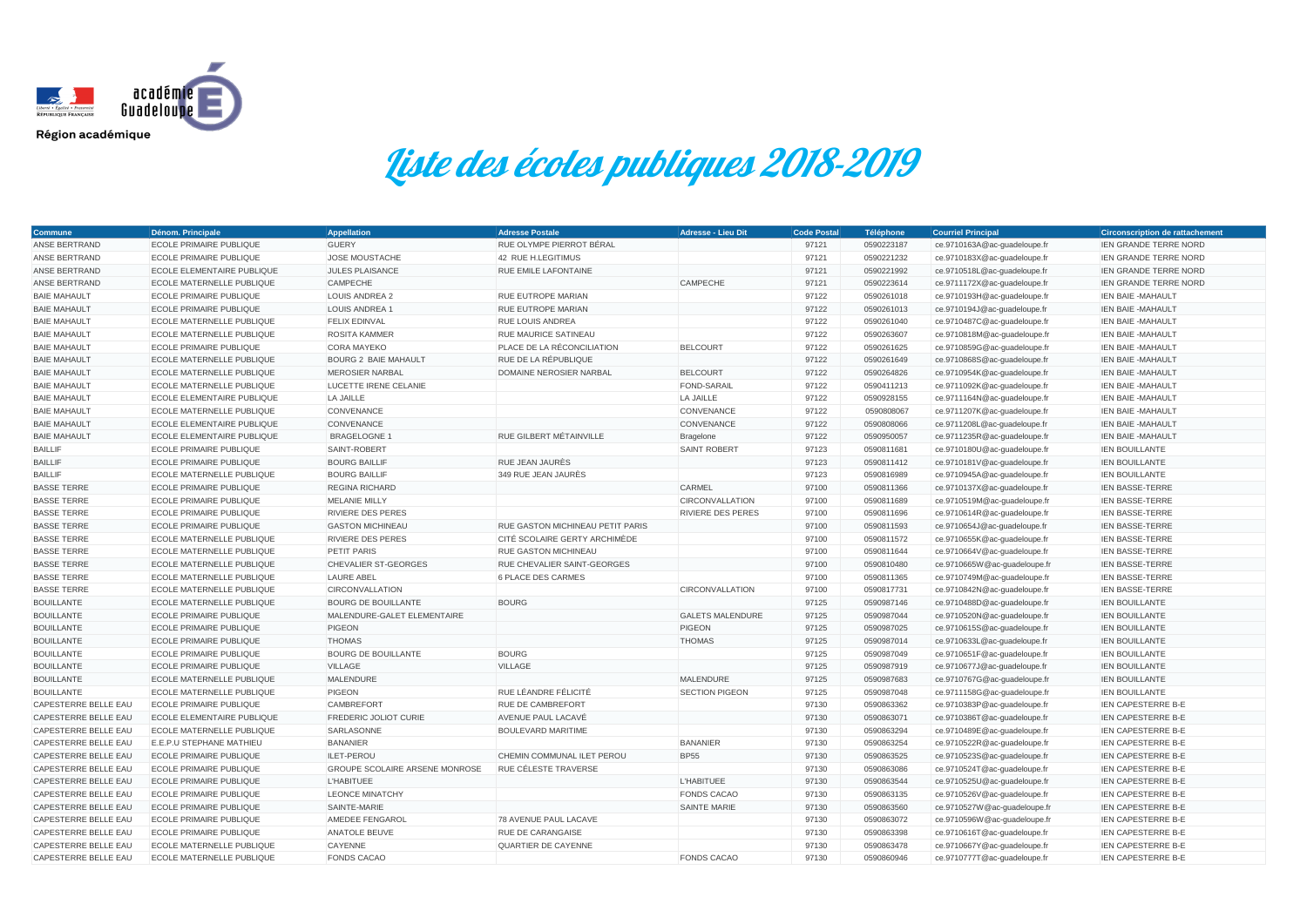| <b>Commune</b>              | Dénom. Principale                 | <b>Appellation</b>                    | <b>Adresse Postale</b>           | <b>Adresse - Lieu Dit</b> | <b>Code Postal</b> | Téléphone  | <b>Courriel Principal</b>    | <b>Circonscription de rattachement</b> |
|-----------------------------|-----------------------------------|---------------------------------------|----------------------------------|---------------------------|--------------------|------------|------------------------------|----------------------------------------|
| ANSE BERTRAND               | <b>ECOLE PRIMAIRE PUBLIQUE</b>    | <b>GUERY</b>                          | RUE OLYMPE PIERROT BÉRAL         |                           | 97121              | 0590223187 | ce.9710163A@ac-guadeloupe.fr | IEN GRANDE TERRE NORD                  |
| ANSE BERTRAND               | <b>ECOLE PRIMAIRE PUBLIQUE</b>    | <b>JOSE MOUSTACHE</b>                 | 42 RUE H.LEGITIMUS               |                           | 97121              | 0590221232 | ce.9710183X@ac-guadeloupe.fr | <b>IEN GRANDE TERRE NORD</b>           |
| <b>ANSE BERTRAND</b>        | ECOLE ELEMENTAIRE PUBLIQUE        | <b>JULES PLAISANCE</b>                | RUE EMILE LAFONTAINE             |                           | 97121              | 0590221992 | ce.9710518L@ac-guadeloupe.fr | <b>IEN GRANDE TERRE NORD</b>           |
| ANSE BERTRAND               | ECOLE MATERNELLE PUBLIQUE         | <b>CAMPECHE</b>                       |                                  | <b>CAMPECHE</b>           | 97121              | 0590223614 | ce.9711172X@ac-guadeloupe.fr | <b>IEN GRANDE TERRE NORD</b>           |
| <b>BAIE MAHAULT</b>         | <b>ECOLE PRIMAIRE PUBLIQUE</b>    | <b>LOUIS ANDREA 2</b>                 | RUE EUTROPE MARIAN               |                           | 97122              | 0590261018 | ce.9710193H@ac-guadeloupe.fr | <b>IEN BAIE -MAHAULT</b>               |
| <b>BAIE MAHAULT</b>         | <b>ECOLE PRIMAIRE PUBLIQUE</b>    | <b>LOUIS ANDREA 1</b>                 | <b>RUE EUTROPE MARIAN</b>        |                           | 97122              | 0590261013 | ce.9710194J@ac-guadeloupe.fr | <b>IEN BAIE -MAHAULT</b>               |
| <b>BAIE MAHAULT</b>         | <b>ECOLE MATERNELLE PUBLIQUE</b>  | <b>FELIX EDINVAL</b>                  | <b>RUE LOUIS ANDREA</b>          |                           | 97122              | 0590261040 | ce.9710487C@ac-guadeloupe.fr | IEN BAIE - MAHAULT                     |
| <b>BAIE MAHAULT</b>         | ECOLE MATERNELLE PUBLIQUE         | <b>ROSITA KAMMER</b>                  | RUE MAURICE SATINEAU             |                           | 97122              | 0590263607 | ce.9710818M@ac-guadeloupe.fr | <b>IEN BAIE -MAHAULT</b>               |
| <b>BAIE MAHAULT</b>         | <b>ECOLE PRIMAIRE PUBLIQUE</b>    | <b>CORA MAYEKO</b>                    | PLACE DE LA RÉCONCILIATION       | <b>BELCOURT</b>           | 97122              | 0590261625 | ce.9710859G@ac-guadeloupe.fr | <b>IEN BAIE -MAHAULT</b>               |
| <b>BAIE MAHAULT</b>         | <b>ECOLE MATERNELLE PUBLIQUE</b>  | <b>BOURG 2 BAIE MAHAULT</b>           | RUE DE LA RÉPUBLIQUE             |                           | 97122              | 0590261649 | ce.9710868S@ac-guadeloupe.fr | <b>IEN BAIE -MAHAULT</b>               |
| <b>BAIE MAHAULT</b>         | ECOLE MATERNELLE PUBLIQUE         | <b>MEROSIER NARBAL</b>                | DOMAINE NEROSIER NARBAL          | <b>BELCOURT</b>           | 97122              | 0590264826 | ce.9710954K@ac-guadeloupe.fr | <b>IEN BAIE -MAHAULT</b>               |
| <b>BAIE MAHAULT</b>         | ECOLE MATERNELLE PUBLIQUE         | LUCETTE IRENE CELANIE                 |                                  | <b>FOND-SARAIL</b>        | 97122              | 0590411213 | ce.9711092K@ac-guadeloupe.fr | <b>IEN BAIE -MAHAULT</b>               |
| <b>BAIE MAHAULT</b>         | <b>ECOLE ELEMENTAIRE PUBLIQUE</b> | LA JAILLE                             |                                  | LA JAILLE                 | 97122              | 0590928155 | ce.9711164N@ac-guadeloupe.fr | <b>IEN BAIE -MAHAULT</b>               |
| <b>BAIE MAHAULT</b>         | ECOLE MATERNELLE PUBLIQUE         | <b>CONVENANCE</b>                     |                                  | <b>CONVENANCE</b>         | 97122              | 0590808067 | ce.9711207K@ac-guadeloupe.fr | <b>IEN BAIE -MAHAULT</b>               |
| <b>BAIE MAHAULT</b>         | <b>ECOLE ELEMENTAIRE PUBLIQUE</b> | <b>CONVENANCE</b>                     |                                  | CONVENANCE                | 97122              | 0590808066 | ce.9711208L@ac-guadeloupe.fr | <b>IEN BAIE -MAHAULT</b>               |
| <b>BAIE MAHAULT</b>         | ECOLE ELEMENTAIRE PUBLIQUE        | <b>BRAGELOGNE 1</b>                   | RUE GILBERT MÉTAINVILLE          | <b>Bragelone</b>          | 97122              | 0590950057 | ce.9711235R@ac-guadeloupe.fr | <b>IEN BAIE -MAHAULT</b>               |
| <b>BAILLIF</b>              | <b>ECOLE PRIMAIRE PUBLIQUE</b>    | SAINT-ROBERT                          |                                  | <b>SAINT ROBERT</b>       | 97123              | 0590811681 | ce.9710180U@ac-guadeloupe.fr | <b>IEN BOUILLANTE</b>                  |
| <b>BAILLIF</b>              | <b>ECOLE PRIMAIRE PUBLIQUE</b>    | <b>BOURG BAILLIF</b>                  | RUE JEAN JAURÈS                  |                           | 97123              | 0590811412 | ce.9710181V@ac-guadeloupe.fr | <b>IEN BOUILLANTE</b>                  |
| <b>BAILLIF</b>              | ECOLE MATERNELLE PUBLIQUE         | <b>BOURG BAILLIF</b>                  | 349 RUE JEAN JAURÈS              |                           | 97123              | 0590816989 | ce.9710945A@ac-guadeloupe.fr | <b>IEN BOUILLANTE</b>                  |
| <b>BASSE TERRE</b>          | <b>ECOLE PRIMAIRE PUBLIQUE</b>    | <b>REGINA RICHARD</b>                 |                                  | <b>CARMEL</b>             | 97100              | 0590811366 | ce.9710137X@ac-guadeloupe.fr | <b>IEN BASSE-TERRE</b>                 |
| <b>BASSE TERRE</b>          | <b>ECOLE PRIMAIRE PUBLIQUE</b>    | MELANIE MILLY                         |                                  | <b>CIRCONVALLATION</b>    | 97100              | 0590811689 | ce.9710519M@ac-guadeloupe.fr | <b>IEN BASSE-TERRE</b>                 |
| <b>BASSE TERRE</b>          | <b>ECOLE PRIMAIRE PUBLIQUE</b>    | <b>RIVIERE DES PERES</b>              |                                  | RIVIERE DES PERES         | 97100              | 0590811696 | ce.9710614R@ac-guadeloupe.fr | <b>IEN BASSE-TERRE</b>                 |
| <b>BASSE TERRE</b>          | <b>ECOLE PRIMAIRE PUBLIQUE</b>    | <b>GASTON MICHINEAU</b>               | RUE GASTON MICHINEAU PETIT PARIS |                           | 97100              | 0590811593 | ce.9710654J@ac-guadeloupe.fr | <b>IEN BASSE-TERRE</b>                 |
| <b>BASSE TERRE</b>          | <b>ECOLE MATERNELLE PUBLIQUE</b>  | <b>RIVIERE DES PERES</b>              | CITÉ SCOLAIRE GERTY ARCHIMÈDE    |                           | 97100              | 0590811572 | ce.9710655K@ac-guadeloupe.fr | <b>IEN BASSE-TERRE</b>                 |
| <b>BASSE TERRE</b>          | ECOLE MATERNELLE PUBLIQUE         | <b>PETIT PARIS</b>                    | RUE GASTON MICHINEAU             |                           | 97100              | 0590811644 | ce.9710664V@ac-guadeloupe.fr | <b>IEN BASSE-TERRE</b>                 |
| <b>BASSE TERRE</b>          | ECOLE MATERNELLE PUBLIQUE         | <b>CHEVALIER ST-GEORGES</b>           | RUE CHEVALIER SAINT-GEORGES      |                           | 97100              | 0590810480 | ce.9710665W@ac-guadeloupe.fr | <b>IEN BASSE-TERRE</b>                 |
| <b>BASSE TERRE</b>          | ECOLE MATERNELLE PUBLIQUE         | <b>LAURE ABEL</b>                     | 6 PLACE DES CARMES               |                           | 97100              | 0590811365 | ce.9710749M@ac-guadeloupe.fr | <b>IEN BASSE-TERRE</b>                 |
| <b>BASSE TERRE</b>          | ECOLE MATERNELLE PUBLIQUE         | <b>CIRCONVALLATION</b>                |                                  | <b>CIRCONVALLATION</b>    | 97100              | 0590817731 | ce.9710842N@ac-guadeloupe.fr | <b>IEN BASSE-TERRE</b>                 |
| <b>BOUILLANTE</b>           | ECOLE MATERNELLE PUBLIQUE         | <b>BOURG DE BOUILLANTE</b>            | <b>BOURG</b>                     |                           | 97125              | 0590987146 | ce.9710488D@ac-guadeloupe.fr | <b>IEN BOUILLANTE</b>                  |
| <b>BOUILLANTE</b>           | <b>ECOLE PRIMAIRE PUBLIQUE</b>    | MALENDURE-GALET ELEMENTAIRE           |                                  | <b>GALETS MALENDURE</b>   | 97125              | 0590987044 | ce.9710520N@ac-guadeloupe.fr | <b>IEN BOUILLANTE</b>                  |
| <b>BOUILLANTE</b>           | <b>ECOLE PRIMAIRE PUBLIQUE</b>    | PIGEON                                |                                  | <b>PIGEON</b>             | 97125              | 0590987025 | ce.9710615S@ac-guadeloupe.fr | <b>IEN BOUILLANTE</b>                  |
| <b>BOUILLANTE</b>           | <b>ECOLE PRIMAIRE PUBLIQUE</b>    | <b>THOMAS</b>                         |                                  | <b>THOMAS</b>             | 97125              | 0590987014 | ce.9710633L@ac-guadeloupe.fr | <b>IEN BOUILLANTE</b>                  |
| <b>BOUILLANTE</b>           | <b>ECOLE PRIMAIRE PUBLIQUE</b>    | <b>BOURG DE BOUILLANTE</b>            | <b>BOURG</b>                     |                           | 97125              | 0590987049 | ce.9710651F@ac-guadeloupe.fr | <b>IEN BOUILLANTE</b>                  |
| <b>BOUILLANTE</b>           | <b>ECOLE PRIMAIRE PUBLIQUE</b>    | <b>VILLAGE</b>                        | <b>VILLAGE</b>                   |                           | 97125              | 0590987919 | ce.9710677J@ac-guadeloupe.fr | <b>IEN BOUILLANTE</b>                  |
| <b>BOUILLANTE</b>           | ECOLE MATERNELLE PUBLIQUE         | <b>MALENDURE</b>                      |                                  | <b>MALENDURE</b>          | 97125              | 0590987683 | ce.9710767G@ac-guadeloupe.fr | <b>IEN BOUILLANTE</b>                  |
| <b>BOUILLANTE</b>           | <b>ECOLE MATERNELLE PUBLIQUE</b>  | <b>PIGEON</b>                         | RUE LÉANDRE FÉLICITÉ             | <b>SECTION PIGEON</b>     | 97125              | 0590987048 | ce.9711158G@ac-guadeloupe.fr | <b>IEN BOUILLANTE</b>                  |
| <b>CAPESTERRE BELLE EAU</b> | <b>ECOLE PRIMAIRE PUBLIQUE</b>    | <b>CAMBREFORT</b>                     | <b>RUE DE CAMBREFORT</b>         |                           | 97130              | 0590863362 | ce.9710383P@ac-guadeloupe.fr | <b>IEN CAPESTERRE B-E</b>              |
| CAPESTERRE BELLE EAU        | ECOLE ELEMENTAIRE PUBLIQUE        | FREDERIC JOLIOT CURIE                 | AVENUE PAUL LACAVÉ               |                           | 97130              | 0590863071 | ce.9710386T@ac-guadeloupe.fr | IEN CAPESTERRE B-E                     |
| CAPESTERRE BELLE EAU        | <b>ECOLE MATERNELLE PUBLIQUE</b>  | SARLASONNE                            | BOULEVARD MARITIME               |                           | 97130              | 0590863294 | ce.9710489E@ac-guadeloupe.fr | <b>IEN CAPESTERRE B-E</b>              |
| CAPESTERRE BELLE EAU        | E.E.P.U STEPHANE MATHIEU          | <b>BANANIER</b>                       |                                  | <b>BANANIER</b>           | 97130              | 0590863254 | ce.9710522R@ac-guadeloupe.fr | <b>IEN CAPESTERRE B-E</b>              |
| CAPESTERRE BELLE EAU        | <b>ECOLE PRIMAIRE PUBLIQUE</b>    | ILET-PEROU                            | CHEMIN COMMUNAL ILET PEROU       | <b>BP55</b>               | 97130              | 0590863525 | ce.9710523S@ac-guadeloupe.fr | <b>IEN CAPESTERRE B-E</b>              |
| CAPESTERRE BELLE EAU        | <b>ECOLE PRIMAIRE PUBLIQUE</b>    | <b>GROUPE SCOLAIRE ARSENE MONROSE</b> | RUE CÉLESTE TRAVERSE             |                           | 97130              | 0590863086 | ce.9710524T@ac-guadeloupe.fr | <b>IEN CAPESTERRE B-E</b>              |
| CAPESTERRE BELLE EAU        | <b>ECOLE PRIMAIRE PUBLIQUE</b>    | <b>L'HABITUEE</b>                     |                                  | <b>L'HABITUEE</b>         | 97130              | 0590863544 | ce.9710525U@ac-guadeloupe.fr | <b>IEN CAPESTERRE B-E</b>              |
| CAPESTERRE BELLE EAU        | <b>ECOLE PRIMAIRE PUBLIQUE</b>    | <b>LEONCE MINATCHY</b>                |                                  | <b>FONDS CACAO</b>        | 97130              | 0590863135 | ce.9710526V@ac-guadeloupe.fr | <b>IEN CAPESTERRE B-E</b>              |
| CAPESTERRE BELLE EAU        | <b>ECOLE PRIMAIRE PUBLIQUE</b>    | SAINTE-MARIE                          |                                  | <b>SAINTE MARIE</b>       | 97130              | 0590863560 | ce.9710527W@ac-guadeloupe.fr | <b>IEN CAPESTERRE B-E</b>              |
| CAPESTERRE BELLE EAU        | <b>ECOLE PRIMAIRE PUBLIQUE</b>    | AMEDEE FENGAROL                       | 78 AVENUE PAUL LACAVE            |                           | 97130              | 0590863072 | ce.9710596W@ac-guadeloupe.fr | <b>IEN CAPESTERRE B-E</b>              |
| CAPESTERRE BELLE EAU        | <b>ECOLE PRIMAIRE PUBLIQUE</b>    | <b>ANATOLE BEUVE</b>                  | <b>RUE DE CARANGAISE</b>         |                           | 97130              | 0590863398 | ce.9710616T@ac-guadeloupe.fr | <b>IEN CAPESTERRE B-E</b>              |
| CAPESTERRE BELLE EAU        | <b>ECOLE MATERNELLE PUBLIQUE</b>  | <b>CAYENNE</b>                        | QUARTIER DE CAYENNE              |                           | 97130              | 0590863478 | ce.9710667Y@ac-guadeloupe.fr | <b>IEN CAPESTERRE B-E</b>              |
| CAPESTERRE BELLE EAU        | <b>ECOLE MATERNELLE PUBLIQUE</b>  | <b>FONDS CACAO</b>                    |                                  | <b>FONDS CACAO</b>        | 97130              | 0590860946 | ce.9710777T@ac-guadeloupe.fr | <b>IEN CAPESTERRE B-E</b>              |



Liste des écoles publiques 2018-2019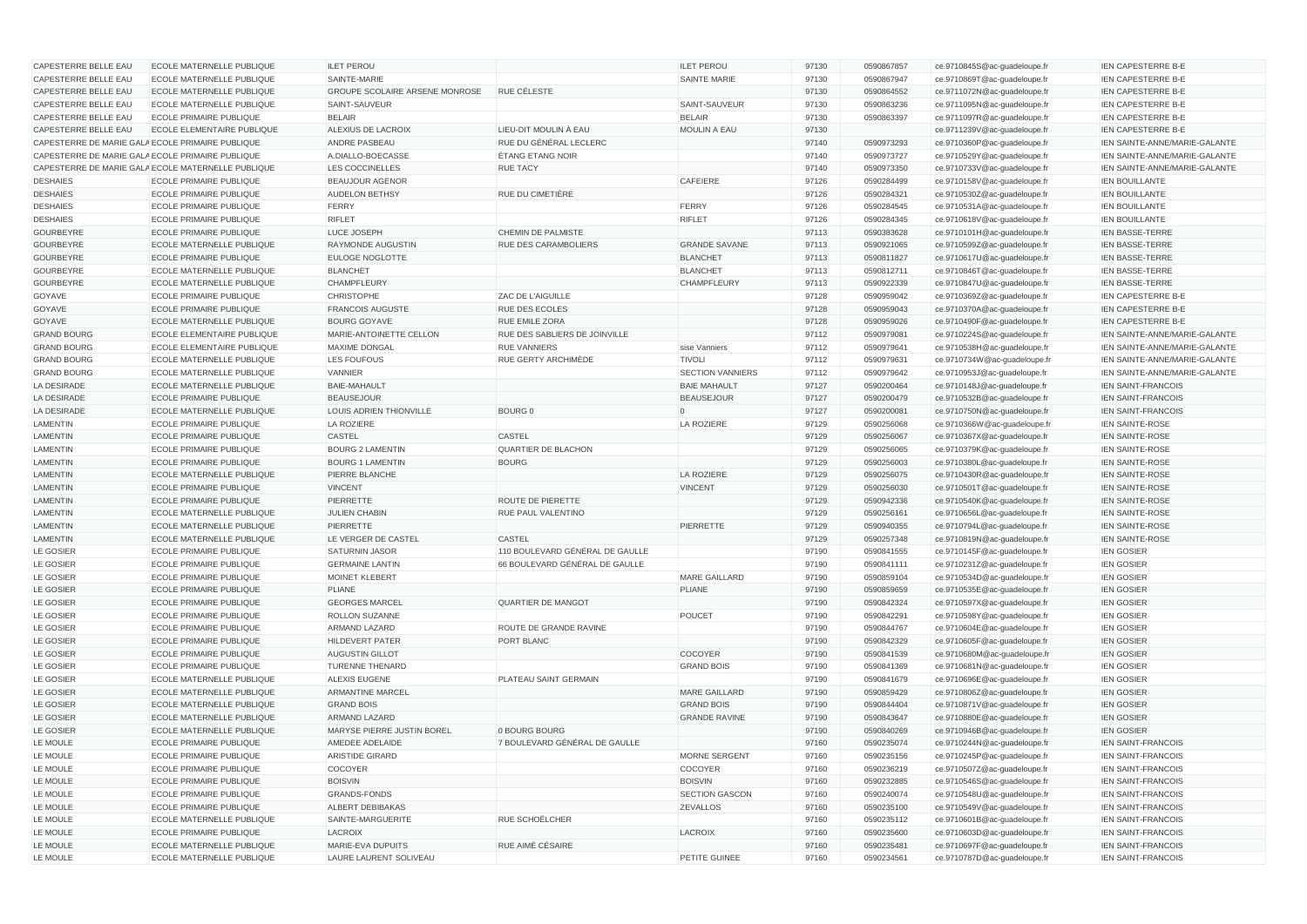| CAPESTERRE BELLE EAU | <b>ECOLE MATERNELLE PUBLIQUE</b>                   | <b>ILET PEROU</b>                     |                                 | <b>ILET PEROU</b>       | 97130 | 0590867857 | ce.9710845S@ac-quadeloupe.fr | <b>IEN CAPESTERRE B-E</b>     |
|----------------------|----------------------------------------------------|---------------------------------------|---------------------------------|-------------------------|-------|------------|------------------------------|-------------------------------|
| CAPESTERRE BELLE EAU | <b>ECOLE MATERNELLE PUBLIQUE</b>                   | SAINTE-MARIE                          |                                 | <b>SAINTE MARIE</b>     | 97130 | 0590867947 | ce.9710869T@ac-guadeloupe.fr | <b>IEN CAPESTERRE B-E</b>     |
| CAPESTERRE BELLE EAU | <b>ECOLE MATERNELLE PUBLIQUE</b>                   | <b>GROUPE SCOLAIRE ARSENE MONROSE</b> | RUE CÉLESTE                     |                         | 97130 | 0590864552 | ce.9711072N@ac-guadeloupe.fr | IEN CAPESTERRE B-E            |
| CAPESTERRE BELLE EAU | <b>ECOLE MATERNELLE PUBLIQUE</b>                   | SAINT-SAUVEUR                         |                                 | SAINT-SAUVEUR           | 97130 | 0590863236 | ce.9711095N@ac-guadeloupe.fr | <b>IEN CAPESTERRE B-E</b>     |
| CAPESTERRE BELLE EAU | <b>ECOLE PRIMAIRE PUBLIQUE</b>                     | <b>BELAIR</b>                         |                                 | <b>BELAIR</b>           | 97130 | 0590863397 | ce.9711097R@ac-guadeloupe.fr | IEN CAPESTERRE B-E            |
| CAPESTERRE BELLE EAU | <b>ECOLE ELEMENTAIRE PUBLIQUE</b>                  | ALEXIUS DE LACROIX                    | LIEU-DIT MOULIN À EAU           | <b>MOULIN A EAU</b>     | 97130 |            | ce.9711239V@ac-guadeloupe.fr | IEN CAPESTERRE B-E            |
|                      | CAPESTERRE DE MARIE GALA ECOLE PRIMAIRE PUBLIQUE   | <b>ANDRE PASBEAU</b>                  | RUE DU GÉNÉRAL LECLERC          |                         | 97140 | 0590973293 | ce.9710360P@ac-guadeloupe.fr | IEN SAINTE-ANNE/MARIE-GALANTE |
|                      | CAPESTERRE DE MARIE GALA ECOLE PRIMAIRE PUBLIQUE   | A.DIALLO-BOECASSE                     | <b>ÉTANG ETANG NOIR</b>         |                         | 97140 | 0590973727 | ce.9710529Y@ac-guadeloupe.fr | IEN SAINTE-ANNE/MARIE-GALANTE |
|                      | CAPESTERRE DE MARIE GALA ECOLE MATERNELLE PUBLIQUE | LES COCCINELLES                       | <b>RUE TACY</b>                 |                         | 97140 | 0590973350 | ce.9710733V@ac-guadeloupe.fr | IEN SAINTE-ANNE/MARIE-GALANTE |
| <b>DESHAIES</b>      | <b>ECOLE PRIMAIRE PUBLIQUE</b>                     | <b>BEAUJOUR AGENOR</b>                |                                 | CAFEIERE                | 97126 | 0590284499 | ce.9710158V@ac-guadeloupe.fr | <b>IEN BOUILLANTE</b>         |
| <b>DESHAIES</b>      | <b>ECOLE PRIMAIRE PUBLIQUE</b>                     | <b>AUDELON BETHSY</b>                 | <b>RUE DU CIMETIÈRE</b>         |                         | 97126 | 0590284321 | ce.9710530Z@ac-guadeloupe.fr | <b>IEN BOUILLANTE</b>         |
| <b>DESHAIES</b>      | <b>ECOLE PRIMAIRE PUBLIQUE</b>                     | FERRY                                 |                                 | <b>FERRY</b>            | 97126 | 0590284545 | ce.9710531A@ac-guadeloupe.fr | IEN BOUILLANTE                |
| <b>DESHAIES</b>      | <b>ECOLE PRIMAIRE PUBLIQUE</b>                     | <b>RIFLET</b>                         |                                 | <b>RIFLET</b>           | 97126 | 0590284345 | ce.9710618V@ac-guadeloupe.fr | <b>IEN BOUILLANTE</b>         |
| <b>GOURBEYRE</b>     | <b>ECOLE PRIMAIRE PUBLIQUE</b>                     | LUCE JOSEPH                           | CHEMIN DE PALMISTE              |                         | 97113 | 0590383628 | ce.9710101H@ac-guadeloupe.fr | <b>IEN BASSE-TERRE</b>        |
| <b>GOURBEYRE</b>     | ECOLE MATERNELLE PUBLIQUE                          | <b>RAYMONDE AUGUSTIN</b>              | RUE DES CARAMBOLIERS            | <b>GRANDE SAVANE</b>    | 97113 | 0590921065 | ce.9710599Z@ac-guadeloupe.fr | <b>IEN BASSE-TERRE</b>        |
| GOURBEYRE            | <b>ECOLE PRIMAIRE PUBLIQUE</b>                     | <b>EULOGE NOGLOTTE</b>                |                                 | <b>BLANCHET</b>         | 97113 | 0590811827 | ce.9710617U@ac-guadeloupe.fr | <b>IEN BASSE-TERRE</b>        |
| GOURBEYRE            | <b>ECOLE MATERNELLE PUBLIQUE</b>                   | <b>BLANCHET</b>                       |                                 | <b>BLANCHET</b>         | 97113 | 0590812711 | ce.9710846T@ac-guadeloupe.fr | <b>IEN BASSE-TERRE</b>        |
| <b>GOURBEYRE</b>     | ECOLE MATERNELLE PUBLIQUE                          | <b>CHAMPFLEURY</b>                    |                                 | <b>CHAMPFLEURY</b>      | 97113 | 0590922339 | ce.9710847U@ac-guadeloupe.fr | <b>IEN BASSE-TERRE</b>        |
| GOYAVE               | <b>ECOLE PRIMAIRE PUBLIQUE</b>                     | <b>CHRISTOPHE</b>                     | <b>ZAC DE L'AIGUILLE</b>        |                         | 97128 | 0590959042 | ce.9710369Z@ac-guadeloupe.fr | <b>IEN CAPESTERRE B-E</b>     |
| GOYAVE               | <b>ECOLE PRIMAIRE PUBLIQUE</b>                     | <b>FRANCOIS AUGUSTE</b>               | RUE DES ECOLES                  |                         | 97128 | 0590959043 | ce.9710370A@ac-guadeloupe.fr | IEN CAPESTERRE B-E            |
| GOYAVE               | <b>ECOLE MATERNELLE PUBLIQUE</b>                   | <b>BOURG GOYAVE</b>                   | <b>RUE EMILE ZORA</b>           |                         | 97128 | 0590959026 | ce.9710490F@ac-guadeloupe.fr | IEN CAPESTERRE B-E            |
| <b>GRAND BOURG</b>   | <b>ECOLE ELEMENTAIRE PUBLIQUE</b>                  | MARIE-ANTOINETTE CELLON               | RUE DES SABLIERS DE JOINVILLE   |                         | 97112 | 0590979081 | ce.9710224S@ac-guadeloupe.fr | IEN SAINTE-ANNE/MARIE-GALANTE |
| <b>GRAND BOURG</b>   | <b>ECOLE ELEMENTAIRE PUBLIQUE</b>                  | <b>MAXIME DONGAL</b>                  | <b>RUE VANNIERS</b>             | sise Vanniers           | 97112 | 0590979641 | ce.9710538H@ac-guadeloupe.fr | IEN SAINTE-ANNE/MARIE-GALANTE |
| <b>GRAND BOURG</b>   | ECOLE MATERNELLE PUBLIQUE                          | LES FOUFOUS                           | RUE GERTY ARCHIMÈDE             | <b>TIVOLI</b>           | 97112 | 0590979631 | ce.9710734W@ac-guadeloupe.fr | IEN SAINTE-ANNE/MARIE-GALANTE |
| <b>GRAND BOURG</b>   | <b>ECOLE MATERNELLE PUBLIQUE</b>                   | <b>VANNIER</b>                        |                                 | <b>SECTION VANNIERS</b> | 97112 | 0590979642 | ce.9710953J@ac-guadeloupe.fr | IEN SAINTE-ANNE/MARIE-GALANTE |
| LA DESIRADE          | <b>ECOLE MATERNELLE PUBLIQUE</b>                   | <b>BAIE-MAHAULT</b>                   |                                 | <b>BAIE MAHAULT</b>     | 97127 | 0590200464 | ce.9710148J@ac-guadeloupe.fr | <b>IEN SAINT-FRANCOIS</b>     |
| LA DESIRADE          | <b>ECOLE PRIMAIRE PUBLIQUE</b>                     | <b>BEAUSEJOUR</b>                     |                                 | <b>BEAUSEJOUR</b>       | 97127 | 0590200479 | ce.9710532B@ac-guadeloupe.fr | <b>IEN SAINT-FRANCOIS</b>     |
| LA DESIRADE          | ECOLE MATERNELLE PUBLIQUE                          | LOUIS ADRIEN THIONVILLE               | <b>BOURG 0</b>                  | $\Omega$                | 97127 | 0590200081 | ce.9710750N@ac-guadeloupe.fr | <b>IEN SAINT-FRANCOIS</b>     |
| LAMENTIN             | <b>ECOLE PRIMAIRE PUBLIQUE</b>                     | LA ROZIERE                            |                                 | <b>LA ROZIERE</b>       | 97129 | 0590256068 | ce.9710366W@ac-guadeloupe.fr | <b>IEN SAINTE-ROSE</b>        |
| <b>LAMENTIN</b>      | <b>ECOLE PRIMAIRE PUBLIQUE</b>                     | <b>CASTEL</b>                         | <b>CASTEL</b>                   |                         | 97129 | 0590256067 | ce.9710367X@ac-guadeloupe.fr | <b>IEN SAINTE-ROSE</b>        |
| <b>LAMENTIN</b>      | <b>ECOLE PRIMAIRE PUBLIQUE</b>                     | <b>BOURG 2 LAMENTIN</b>               | <b>QUARTIER DE BLACHON</b>      |                         | 97129 | 0590256065 | ce.9710379K@ac-guadeloupe.fr | <b>IEN SAINTE-ROSE</b>        |
| <b>LAMENTIN</b>      | <b>ECOLE PRIMAIRE PUBLIQUE</b>                     | <b>BOURG 1 LAMENTIN</b>               | <b>BOURG</b>                    |                         | 97129 | 0590256003 | ce.9710380L@ac-guadeloupe.fr | <b>IEN SAINTE-ROSE</b>        |
| <b>LAMENTIN</b>      | ECOLE MATERNELLE PUBLIQUE                          | PIERRE BLANCHE                        |                                 | <b>LA ROZIERE</b>       | 97129 | 0590256075 | ce.9710430R@ac-guadeloupe.fr | <b>IEN SAINTE-ROSE</b>        |
| <b>LAMENTIN</b>      | <b>ECOLE PRIMAIRE PUBLIQUE</b>                     | <b>VINCENT</b>                        |                                 | <b>VINCENT</b>          | 97129 | 0590256030 | ce.9710501T@ac-guadeloupe.fr | <b>IEN SAINTE-ROSE</b>        |
| <b>LAMENTIN</b>      | <b>ECOLE PRIMAIRE PUBLIQUE</b>                     | PIERRETTE                             | ROUTE DE PIERETTE               |                         | 97129 | 0590942336 | ce.9710540K@ac-guadeloupe.fr | <b>IEN SAINTE-ROSE</b>        |
| <b>LAMENTIN</b>      | ECOLE MATERNELLE PUBLIQUE                          | <b>JULIEN CHABIN</b>                  | RUE PAUL VALENTINO              |                         | 97129 | 0590256161 | ce.9710656L@ac-guadeloupe.fr | <b>IEN SAINTE-ROSE</b>        |
| <b>LAMENTIN</b>      | ECOLE MATERNELLE PUBLIQUE                          | PIERRETTE                             |                                 | <b>PIERRETTE</b>        | 97129 | 0590940355 | ce.9710794L@ac-guadeloupe.fr | <b>IEN SAINTE-ROSE</b>        |
| <b>LAMENTIN</b>      | ECOLE MATERNELLE PUBLIQUE                          | LE VERGER DE CASTEL                   | <b>CASTEL</b>                   |                         | 97129 | 0590257348 | ce.9710819N@ac-guadeloupe.fr | <b>IEN SAINTE-ROSE</b>        |
| LE GOSIER            | ECOLE PRIMAIRE PUBLIQUE                            | <b>SATURNIN JASOR</b>                 | 110 BOULEVARD GÉNÉRAL DE GAULLE |                         | 97190 | 0590841555 | ce.9710145F@ac-guadeloupe.fr | <b>IEN GOSIER</b>             |
| LE GOSIER            | <b>ECOLE PRIMAIRE PUBLIQUE</b>                     | <b>GERMAINE LANTIN</b>                | 66 BOULEVARD GÉNÉRAL DE GAULLE  |                         | 97190 | 0590841111 | ce.9710231Z@ac-guadeloupe.fr | <b>IEN GOSIER</b>             |
| LE GOSIER            | <b>ECOLE PRIMAIRE PUBLIQUE</b>                     | <b>MOINET KLEBERT</b>                 |                                 | <b>MARE GAILLARD</b>    | 97190 | 0590859104 | ce.9710534D@ac-guadeloupe.fr | <b>IEN GOSIER</b>             |
| LE GOSIER            | <b>ECOLE PRIMAIRE PUBLIQUE</b>                     | PLIANE                                |                                 | <b>PLIANE</b>           | 97190 | 0590859659 | ce.9710535E@ac-guadeloupe.fr | <b>IEN GOSIER</b>             |
| LE GOSIER            | <b>ECOLE PRIMAIRE PUBLIQUE</b>                     | <b>GEORGES MARCEL</b>                 | QUARTIER DE MANGOT              |                         | 97190 | 0590842324 | ce.9710597X@ac-guadeloupe.fr | <b>IEN GOSIER</b>             |
| LE GOSIER            | <b>ECOLE PRIMAIRE PUBLIQUE</b>                     | <b>ROLLON SUZANNE</b>                 |                                 | <b>POUCET</b>           | 97190 | 0590842291 | ce.9710598Y@ac-guadeloupe.fr | <b>IEN GOSIER</b>             |
| LE GOSIER            | <b>ECOLE PRIMAIRE PUBLIQUE</b>                     | <b>ARMAND LAZARD</b>                  | ROUTE DE GRANDE RAVINE          |                         | 97190 | 0590844767 | ce.9710604E@ac-guadeloupe.fr | <b>IEN GOSIER</b>             |
| LE GOSIER            | <b>ECOLE PRIMAIRE PUBLIQUE</b>                     | <b>HILDEVERT PATER</b>                | PORT BLANC                      |                         | 97190 | 0590842329 | ce.9710605F@ac-guadeloupe.fr | <b>IEN GOSIER</b>             |
| LE GOSIER            | <b>ECOLE PRIMAIRE PUBLIQUE</b>                     | <b>AUGUSTIN GILLOT</b>                |                                 | COCOYER                 | 97190 | 0590841539 | ce.9710680M@ac-guadeloupe.fr | <b>IEN GOSIER</b>             |
| LE GOSIER            | ECOLE PRIMAIRE PUBLIQUE                            | <b>TURENNE THENARD</b>                |                                 | <b>GRAND BOIS</b>       | 97190 | 0590841369 | ce.9710681N@ac-guadeloupe.fr | <b>IEN GOSIER</b>             |
| LE GOSIER            | ECOLE MATERNELLE PUBLIQUE                          | <b>ALEXIS EUGENE</b>                  | PLATEAU SAINT GERMAIN           |                         | 97190 | 0590841679 | ce.9710696E@ac-guadeloupe.fr | <b>IEN GOSIER</b>             |
| LE GOSIER            | ECOLE MATERNELLE PUBLIQUE                          | <b>ARMANTINE MARCEL</b>               |                                 | <b>MARE GAILLARD</b>    | 97190 | 0590859429 | ce.9710806Z@ac-guadeloupe.fr | <b>IEN GOSIER</b>             |
| LE GOSIER            | ECOLE MATERNELLE PUBLIQUE                          | <b>GRAND BOIS</b>                     |                                 | <b>GRAND BOIS</b>       | 97190 | 0590844404 | ce.9710871V@ac-guadeloupe.fr | <b>IEN GOSIER</b>             |
| LE GOSIER            | ECOLE MATERNELLE PUBLIQUE                          | <b>ARMAND LAZARD</b>                  |                                 | <b>GRANDE RAVINE</b>    | 97190 | 0590843647 | ce.9710880E@ac-guadeloupe.fr | <b>IEN GOSIER</b>             |
| LE GOSIER            | ECOLE MATERNELLE PUBLIQUE                          | MARYSE PIERRE JUSTIN BOREL            | 0 BOURG BOURG                   |                         | 97190 | 0590840269 | ce.9710946B@ac-guadeloupe.fr | <b>IEN GOSIER</b>             |
| LE MOULE             | <b>ECOLE PRIMAIRE PUBLIQUE</b>                     | AMEDEE ADELAIDE                       | 7 BOULEVARD GÉNÉRAL DE GAULLE   |                         | 97160 | 0590235074 | ce.9710244N@ac-guadeloupe.fr | <b>IEN SAINT-FRANCOIS</b>     |
| LE MOULE             | <b>ECOLE PRIMAIRE PUBLIQUE</b>                     | <b>ARISTIDE GIRARD</b>                |                                 | MORNE SERGENT           | 97160 | 0590235156 | ce.9710245P@ac-guadeloupe.fr | <b>IEN SAINT-FRANCOIS</b>     |
| LE MOULE             | ECOLE PRIMAIRE PUBLIQUE                            | COCOYER                               |                                 | <b>COCOYER</b>          | 97160 | 0590236219 | ce.9710507Z@ac-guadeloupe.fr | <b>IEN SAINT-FRANCOIS</b>     |
| LE MOULE             | <b>ECOLE PRIMAIRE PUBLIQUE</b>                     | <b>BOISVIN</b>                        |                                 | <b>BOISVIN</b>          | 97160 | 0590232885 | ce.9710546S@ac-guadeloupe.fr | <b>IEN SAINT-FRANCOIS</b>     |
| LE MOULE             | <b>ECOLE PRIMAIRE PUBLIQUE</b>                     | <b>GRANDS-FONDS</b>                   |                                 | SECTION GASCON          | 97160 | 0590240074 | ce.9710548U@ac-guadeloupe.fr | IEN SAINT-FRANCOIS            |
| LE MOULE             | ECOLE PRIMAIRE PUBLIQUE                            | ALBERT DEBIBAKAS                      |                                 | <b>ZEVALLOS</b>         | 97160 | 0590235100 | ce.9710549V@ac-guadeloupe.fr | <b>IEN SAINT-FRANCOIS</b>     |
| LE MOULE             | <b>ECOLE MATERNELLE PUBLIQUE</b>                   | SAINTE-MARGUERITE                     | RUE SCHOËLCHER                  |                         | 97160 | 0590235112 | ce.9710601B@ac-guadeloupe.fr | <b>IEN SAINT-FRANCOIS</b>     |
| LE MOULE             | <b>ECOLE PRIMAIRE PUBLIQUE</b>                     | LACROIX                               |                                 | <b>LACROIX</b>          | 97160 | 0590235600 | ce.9710603D@ac-guadeloupe.fr | <b>IEN SAINT-FRANCOIS</b>     |
| LE MOULE             | ECOLE MATERNELLE PUBLIQUE                          | MARIE-EVA DUPUITS                     | RUE AIMÉ CÉSAIRE                |                         | 97160 | 0590235481 | ce.9710697F@ac-guadeloupe.fr | <b>IEN SAINT-FRANCOIS</b>     |
| LE MOULE             | ECOLE MATERNELLE PUBLIQUE                          | LAURE LAURENT SOLIVEAU                |                                 | PETITE GUINEE           | 97160 | 0590234561 | ce.9710787D@ac-guadeloupe.fr | <b>IEN SAINT-FRANCOIS</b>     |
|                      |                                                    |                                       |                                 |                         |       |            |                              |                               |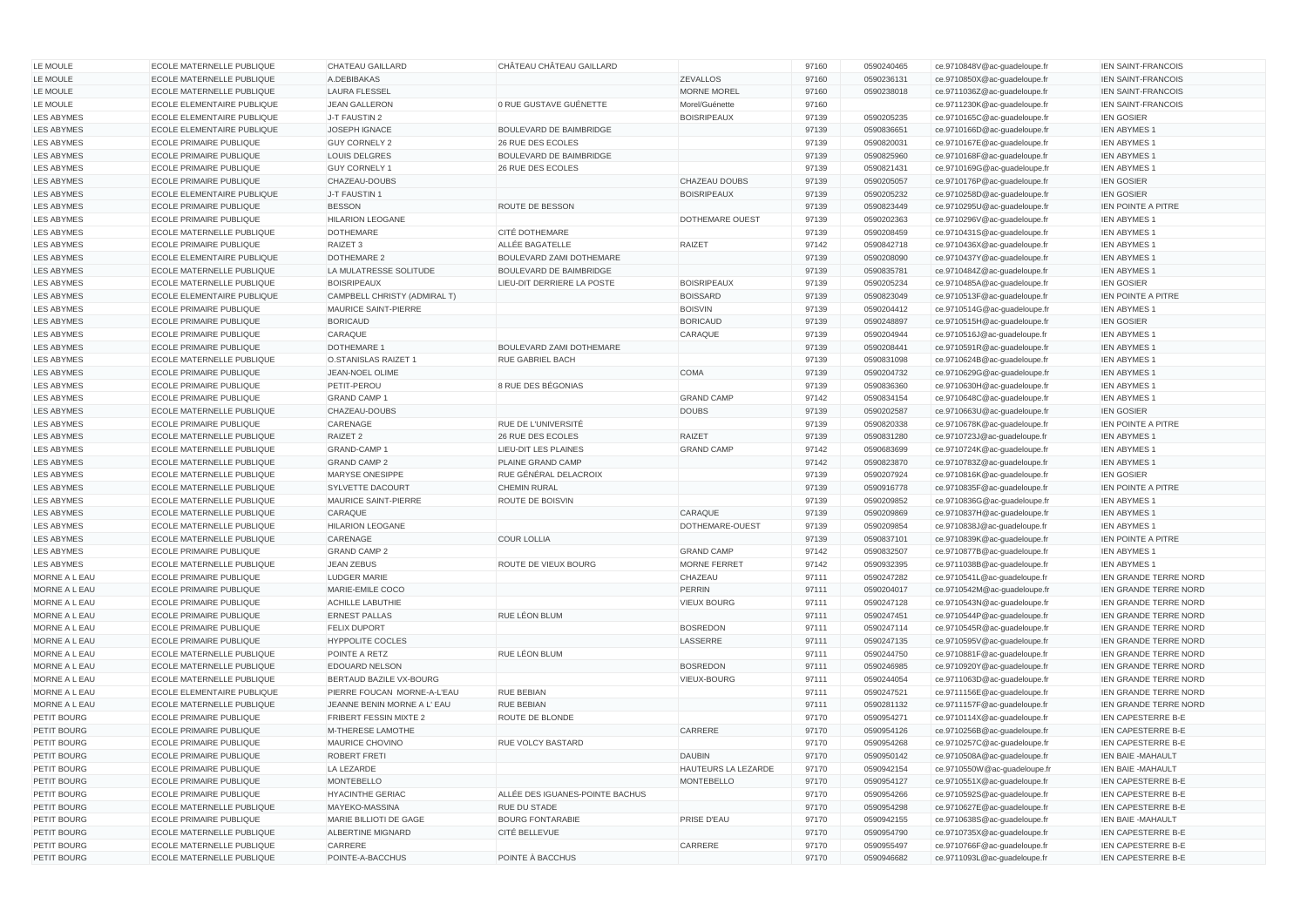| LE MOULE                       | ECOLE MATERNELLE PUBLIQUE                                          | CHATEAU GAILLARD                         | CHÂTEAU CHÂTEAU GAILLARD        |                     | 97160          | 0590240465               | ce.9710848V@ac-guadeloupe.fr                                 | <b>IEN SAINT-FRANCOIS</b>                                    |
|--------------------------------|--------------------------------------------------------------------|------------------------------------------|---------------------------------|---------------------|----------------|--------------------------|--------------------------------------------------------------|--------------------------------------------------------------|
| LE MOULE                       | ECOLE MATERNELLE PUBLIQUE                                          | A.DEBIBAKAS                              |                                 | <b>ZEVALLOS</b>     | 97160          | 0590236131               | ce.9710850X@ac-guadeloupe.fr                                 | <b>IEN SAINT-FRANCOIS</b>                                    |
| LE MOULE                       | ECOLE MATERNELLE PUBLIQUE                                          | <b>LAURA FLESSEL</b>                     |                                 | <b>MORNE MOREL</b>  | 97160          | 0590238018               | ce.9711036Z@ac-guadeloupe.fr                                 | <b>IEN SAINT-FRANCOIS</b>                                    |
| LE MOULE                       | <b>ECOLE ELEMENTAIRE PUBLIQUE</b>                                  | JEAN GALLERON                            | 0 RUE GUSTAVE GUÉNETTE          | Morel/Guénette      | 97160          |                          | ce.9711230K@ac-guadeloupe.fr                                 | <b>IEN SAINT-FRANCOIS</b>                                    |
| <b>LES ABYMES</b>              | <b>ECOLE ELEMENTAIRE PUBLIQUE</b>                                  | J-T FAUSTIN 2                            |                                 | <b>BOISRIPEAUX</b>  | 97139          | 0590205235               | ce.9710165C@ac-guadeloupe.fr                                 | <b>IEN GOSIER</b>                                            |
| <b>LES ABYMES</b>              | <b>ECOLE ELEMENTAIRE PUBLIQUE</b>                                  | JOSEPH IGNACE                            | <b>BOULEVARD DE BAIMBRIDGE</b>  |                     | 97139          | 0590836651               | ce.9710166D@ac-guadeloupe.fr                                 | <b>IEN ABYMES 1</b>                                          |
| LES ABYMES                     | <b>ECOLE PRIMAIRE PUBLIQUE</b>                                     | <b>GUY CORNELY 2</b>                     | 26 RUE DES ECOLES               |                     | 97139          | 0590820031               | ce.9710167E@ac-guadeloupe.fr                                 | <b>IEN ABYMES 1</b>                                          |
| <b>LES ABYMES</b>              | <b>ECOLE PRIMAIRE PUBLIQUE</b>                                     | <b>LOUIS DELGRES</b>                     | <b>BOULEVARD DE BAIMBRIDGE</b>  |                     | 97139          | 0590825960               | ce.9710168F@ac-guadeloupe.fr                                 | <b>IEN ABYMES 1</b>                                          |
| <b>LES ABYMES</b>              | <b>ECOLE PRIMAIRE PUBLIQUE</b>                                     | <b>GUY CORNELY 1</b>                     | 26 RUE DES ECOLES               |                     | 97139          | 0590821431               | ce.9710169G@ac-guadeloupe.fr                                 | <b>IEN ABYMES 1</b>                                          |
| <b>LES ABYMES</b>              | <b>ECOLE PRIMAIRE PUBLIQUE</b>                                     | CHAZEAU-DOUBS                            |                                 | CHAZEAU DOUBS       | 97139          | 0590205057               | ce.9710176P@ac-guadeloupe.fr                                 | <b>IEN GOSIER</b>                                            |
| <b>LES ABYMES</b>              | <b>ECOLE ELEMENTAIRE PUBLIQUE</b>                                  | J-T FAUSTIN 1                            |                                 | <b>BOISRIPEAUX</b>  | 97139          | 0590205232               | ce.9710258D@ac-guadeloupe.fr                                 | <b>IEN GOSIER</b>                                            |
| <b>LES ABYMES</b>              | <b>ECOLE PRIMAIRE PUBLIQUE</b>                                     | <b>BESSON</b>                            | ROUTE DE BESSON                 |                     | 97139          | 0590823449               | ce.9710295U@ac-guadeloupe.fr                                 | <b>IEN POINTE A PITRE</b>                                    |
| LES ABYMES                     | <b>ECOLE PRIMAIRE PUBLIQUE</b>                                     | <b>HILARION LEOGANE</b>                  |                                 | DOTHEMARE OUEST     | 97139          | 0590202363               | ce.9710296V@ac-guadeloupe.fr                                 | <b>IEN ABYMES 1</b>                                          |
| LES ABYMES                     | <b>ECOLE MATERNELLE PUBLIQUE</b>                                   | <b>DOTHEMARE</b>                         | <b>CITÉ DOTHEMARE</b>           |                     | 97139          | 0590208459               | ce.9710431S@ac-guadeloupe.fr                                 | <b>IEN ABYMES 1</b>                                          |
| LES ABYMES                     | <b>ECOLE PRIMAIRE PUBLIQUE</b>                                     | RAIZET <sub>3</sub>                      | ALLÉE BAGATELLE                 | <b>RAIZET</b>       | 97142          | 0590842718               | ce.9710436X@ac-guadeloupe.fr                                 | <b>IEN ABYMES 1</b>                                          |
| LES ABYMES                     | <b>ECOLE ELEMENTAIRE PUBLIQUE</b>                                  | DOTHEMARE 2                              | BOULEVARD ZAMI DOTHEMARE        |                     | 97139          | 0590208090               | ce.9710437Y@ac-guadeloupe.fr                                 | <b>IEN ABYMES 1</b>                                          |
| LES ABYMES                     | ECOLE MATERNELLE PUBLIQUE                                          | LA MULATRESSE SOLITUDE                   | <b>BOULEVARD DE BAIMBRIDGE</b>  |                     | 97139          | 0590835781               | ce.9710484Z@ac-guadeloupe.fr                                 | <b>IEN ABYMES 1</b>                                          |
| LES ABYMES                     | ECOLE MATERNELLE PUBLIQUE                                          | <b>BOISRIPEAUX</b>                       | LIEU-DIT DERRIERE LA POSTE      | <b>BOISRIPEAUX</b>  | 97139          | 0590205234               | ce.9710485A@ac-guadeloupe.fr                                 | <b>IEN GOSIER</b>                                            |
| LES ABYMES                     | ECOLE ELEMENTAIRE PUBLIQUE                                         | CAMPBELL CHRISTY (ADMIRAL T)             |                                 | <b>BOISSARD</b>     | 97139          | 0590823049               | ce.9710513F@ac-guadeloupe.fr                                 | <b>IEN POINTE A PITRE</b>                                    |
| LES ABYMES                     | <b>ECOLE PRIMAIRE PUBLIQUE</b>                                     | <b>MAURICE SAINT-PIERRE</b>              |                                 | <b>BOISVIN</b>      | 97139          | 0590204412               | ce.9710514G@ac-guadeloupe.fr                                 | <b>IEN ABYMES 1</b>                                          |
| LES ABYMES                     | <b>ECOLE PRIMAIRE PUBLIQUE</b>                                     | <b>BORICAUD</b>                          |                                 | <b>BORICAUD</b>     | 97139          | 0590248897               | ce.9710515H@ac-guadeloupe.fr                                 | <b>IEN GOSIER</b>                                            |
| LES ABYMES                     | <b>ECOLE PRIMAIRE PUBLIQUE</b>                                     | CARAQUE                                  |                                 | CARAQUE             | 97139          | 0590204944               | ce.9710516J@ac-guadeloupe.fr                                 | <b>IEN ABYMES 1</b>                                          |
| LES ABYMES                     | <b>ECOLE PRIMAIRE PUBLIQUE</b>                                     | DOTHEMARE 1                              | BOULEVARD ZAMI DOTHEMARE        |                     | 97139          | 0590208441               | ce.9710591R@ac-guadeloupe.fr                                 | <b>IEN ABYMES 1</b>                                          |
| <b>LES ABYMES</b>              | ECOLE MATERNELLE PUBLIQUE                                          | <b>O.STANISLAS RAIZET 1</b>              | RUE GABRIEL BACH                |                     | 97139          | 0590831098               | ce.9710624B@ac-guadeloupe.fr                                 | <b>IEN ABYMES 1</b>                                          |
| <b>LES ABYMES</b>              | <b>ECOLE PRIMAIRE PUBLIQUE</b>                                     | JEAN-NOEL OLIME                          |                                 | COMA                | 97139          | 0590204732               | ce.9710629G@ac-guadeloupe.fr                                 | <b>IEN ABYMES 1</b>                                          |
| <b>LES ABYMES</b>              | <b>ECOLE PRIMAIRE PUBLIQUE</b>                                     | PETIT-PEROU                              | 8 RUE DES BÉGONIAS              |                     | 97139          | 0590836360               | ce.9710630H@ac-guadeloupe.fr                                 | <b>IEN ABYMES 1</b>                                          |
| <b>LES ABYMES</b>              | <b>ECOLE PRIMAIRE PUBLIQUE</b>                                     | <b>GRAND CAMP 1</b>                      |                                 | <b>GRAND CAMP</b>   | 97142          | 0590834154               | ce.9710648C@ac-guadeloupe.fr                                 | <b>IEN ABYMES 1</b>                                          |
| <b>LES ABYMES</b>              | ECOLE MATERNELLE PUBLIQUE                                          | CHAZEAU-DOUBS                            |                                 | <b>DOUBS</b>        | 97139          | 0590202587               | ce.9710663U@ac-guadeloupe.fr                                 | <b>IEN GOSIER</b>                                            |
| <b>LES ABYMES</b>              | <b>ECOLE PRIMAIRE PUBLIQUE</b>                                     | CARENAGE                                 | RUE DE L'UNIVERSITÉ             |                     | 97139          | 0590820338               | ce.9710678K@ac-guadeloupe.fr                                 | <b>IEN POINTE A PITRE</b>                                    |
| LES ABYMES                     | <b>ECOLE MATERNELLE PUBLIQUE</b>                                   | RAIZET 2                                 | 26 RUE DES ECOLES               | <b>RAIZET</b>       | 97139          | 0590831280               | ce.9710723J@ac-guadeloupe.fr                                 | <b>IEN ABYMES 1</b>                                          |
| LES ABYMES                     | ECOLE MATERNELLE PUBLIQUE                                          | <b>GRAND-CAMP1</b>                       | LIEU-DIT LES PLAINES            | <b>GRAND CAMP</b>   | 97142          | 0590683699               | ce.9710724K@ac-guadeloupe.fr                                 | <b>IEN ABYMES 1</b>                                          |
| LES ABYMES                     | ECOLE MATERNELLE PUBLIQUE                                          | <b>GRAND CAMP 2</b>                      | PLAINE GRAND CAMP               |                     | 97142          | 0590823870               | ce.9710783Z@ac-guadeloupe.fr                                 | <b>IEN ABYMES 1</b>                                          |
| LES ABYMES                     | <b>ECOLE MATERNELLE PUBLIQUE</b>                                   | <b>MARYSE ONESIPPE</b>                   | RUE GÉNÉRAL DELACROIX           |                     | 97139          | 0590207924               | ce.9710816K@ac-guadeloupe.fr                                 | <b>IEN GOSIER</b>                                            |
| LES ABYMES                     | ECOLE MATERNELLE PUBLIQUE                                          | <b>SYLVETTE DACOURT</b>                  | <b>CHEMIN RURAL</b>             |                     | 97139          | 0590916778               | ce.9710835F@ac-guadeloupe.fr                                 | <b>IEN POINTE A PITRE</b>                                    |
| LES ABYMES                     | <b>ECOLE MATERNELLE PUBLIQUE</b>                                   | <b>MAURICE SAINT-PIERRE</b>              | ROUTE DE BOISVIN                |                     | 97139          | 0590209852               | ce.9710836G@ac-guadeloupe.fr                                 | <b>IEN ABYMES 1</b>                                          |
| LES ABYMES                     | ECOLE MATERNELLE PUBLIQUE                                          | CARAQUE                                  |                                 | CARAQUE             | 97139          | 0590209869               | ce.9710837H@ac-guadeloupe.fr                                 | <b>IEN ABYMES 1</b>                                          |
| LES ABYMES                     | ECOLE MATERNELLE PUBLIQUE                                          | <b>HILARION LEOGANE</b>                  |                                 | DOTHEMARE-OUEST     | 97139          | 0590209854               | ce.9710838J@ac-guadeloupe.fr                                 | <b>IEN ABYMES 1</b>                                          |
| <b>LES ABYMES</b>              | ECOLE MATERNELLE PUBLIQUE                                          | CARENAGE                                 | <b>COUR LOLLIA</b>              |                     | 97139          | 0590837101               | ce.9710839K@ac-guadeloupe.fr                                 | <b>IEN POINTE A PITRE</b>                                    |
| LES ABYMES                     | ECOLE PRIMAIRE PUBLIQUE                                            | <b>GRAND CAMP 2</b>                      |                                 | <b>GRAND CAMP</b>   | 97142          | 0590832507               | ce.9710877B@ac-guadeloupe.fr                                 | <b>IEN ABYMES 1</b>                                          |
| LES ABYMES                     | ECOLE MATERNELLE PUBLIQUE                                          | JEAN ZEBUS                               | ROUTE DE VIEUX BOURG            | <b>MORNE FERRET</b> | 97142          | 0590932395               | ce.9711038B@ac-guadeloupe.fr                                 | <b>IEN ABYMES 1</b>                                          |
| MORNE A L EAU                  | <b>ECOLE PRIMAIRE PUBLIQUE</b>                                     | LUDGER MARIE                             |                                 | CHAZEAU             | 97111          | 0590247282               | ce.9710541L@ac-guadeloupe.fr                                 | IEN GRANDE TERRE NORD                                        |
| MORNE A L EAU                  | ECOLE PRIMAIRE PUBLIQUE                                            | MARIE-EMILE COCO                         |                                 | <b>PERRIN</b>       | 97111          | 0590204017               | ce.9710542M@ac-guadeloupe.fr                                 | <b>IEN GRANDE TERRE NORD</b>                                 |
| MORNE A L EAU                  | <b>ECOLE PRIMAIRE PUBLIQUE</b><br><b>ECOLE PRIMAIRE PUBLIQUE</b>   | <b>ACHILLE LABUTHIE</b>                  | RUE LÉON BLUM                   | <b>VIEUX BOURG</b>  | 97111          | 0590247128               | ce.9710543N@ac-guadeloupe.fr                                 | <b>IEN GRANDE TERRE NORD</b>                                 |
| MORNE A L EAU                  | <b>ECOLE PRIMAIRE PUBLIQUE</b>                                     | <b>ERNEST PALLAS</b>                     |                                 | <b>BOSREDON</b>     | 97111          | 0590247451               | ce.9710544P@ac-guadeloupe.fr                                 | <b>IEN GRANDE TERRE NORD</b>                                 |
| MORNE A L EAU                  |                                                                    | <b>FELIX DUPORT</b>                      |                                 |                     | 97111          | 0590247114               | ce.9710545R@ac-guadeloupe.fr                                 | IEN GRANDE TERRE NORD                                        |
| MORNE A L EAU<br>MORNE A L EAU | <b>ECOLE PRIMAIRE PUBLIQUE</b><br><b>ECOLE MATERNELLE PUBLIQUE</b> | <b>HYPPOLITE COCLES</b><br>POINTE A RETZ | RUE LÉON BLUM                   | LASSERRE            | 97111<br>97111 | 0590247135<br>0590244750 | ce.9710595V@ac-guadeloupe.fr<br>ce.9710881F@ac-guadeloupe.fr | <b>IEN GRANDE TERRE NORD</b><br><b>IEN GRANDE TERRE NORD</b> |
| MORNE A L EAU                  | ECOLE MATERNELLE PUBLIQUE                                          | <b>EDOUARD NELSON</b>                    |                                 | <b>BOSREDON</b>     |                |                          | ce.9710920Y@ac-guadeloupe.fr                                 |                                                              |
| MORNE A L EAU                  | <b>ECOLE MATERNELLE PUBLIQUE</b>                                   | BERTAUD BAZILE VX-BOURG                  |                                 | VIEUX-BOURG         | 97111<br>97111 | 0590246985<br>0590244054 |                                                              | <b>IEN GRANDE TERRE NORD</b><br><b>IEN GRANDE TERRE NORD</b> |
| MORNE A L EAU                  | ECOLE ELEMENTAIRE PUBLIQUE                                         | PIERRE FOUCAN MORNE-A-L'EAU              | RUE BEBIAN                      |                     | 97111          | 0590247521               | ce.9711063D@ac-guadeloupe.fr<br>ce.9711156E@ac-guadeloupe.fr | <b>IEN GRANDE TERRE NORD</b>                                 |
| MORNE A L EAU                  | ECOLE MATERNELLE PUBLIQUE                                          | JEANNE BENIN MORNE A L'EAU               | RUE BEBIAN                      |                     | 97111          | 0590281132               | ce.9711157F@ac-guadeloupe.fr                                 | <b>IEN GRANDE TERRE NORD</b>                                 |
| PETIT BOURG                    | <b>ECOLE PRIMAIRE PUBLIQUE</b>                                     | <b>FRIBERT FESSIN MIXTE 2</b>            | ROUTE DE BLONDE                 |                     | 97170          | 0590954271               | ce.9710114X@ac-guadeloupe.fr                                 | <b>IEN CAPESTERRE B-E</b>                                    |
| PETIT BOURG                    | ECOLE PRIMAIRE PUBLIQUE                                            | M-THERESE LAMOTHE                        |                                 | CARRERE             | 97170          | 0590954126               | ce.9710256B@ac-guadeloupe.fr                                 | <b>IEN CAPESTERRE B-E</b>                                    |
| PETIT BOURG                    | <b>ECOLE PRIMAIRE PUBLIQUE</b>                                     | <b>MAURICE CHOVINO</b>                   | RUE VOLCY BASTARD               |                     | 97170          | 0590954268               | ce.9710257C@ac-guadeloupe.fr                                 | <b>IEN CAPESTERRE B-E</b>                                    |
| PETIT BOURG                    | <b>ECOLE PRIMAIRE PUBLIQUE</b>                                     | <b>ROBERT FRETI</b>                      |                                 | <b>DAUBIN</b>       | 97170          | 0590950142               | ce.9710508A@ac-guadeloupe.fr                                 | <b>IEN BAIE -MAHAULT</b>                                     |
| PETIT BOURG                    | <b>ECOLE PRIMAIRE PUBLIQUE</b>                                     | LA LEZARDE                               |                                 | HAUTEURS LA LEZARDE | 97170          | 0590942154               | ce.9710550W@ac-guadeloupe.fr                                 | IEN BAIE - MAHAULT                                           |
| PETIT BOURG                    | <b>ECOLE PRIMAIRE PUBLIQUE</b>                                     | <b>MONTEBELLO</b>                        |                                 | <b>MONTEBELLO</b>   | 97170          | 0590954127               | ce.9710551X@ac-guadeloupe.fr                                 | <b>IEN CAPESTERRE B-E</b>                                    |
| PETIT BOURG                    | <b>ECOLE PRIMAIRE PUBLIQUE</b>                                     | <b>HYACINTHE GERIAC</b>                  | ALLÉE DES IGUANES-POINTE BACHUS |                     | 97170          | 0590954266               | ce.9710592S@ac-guadeloupe.fr                                 | <b>IEN CAPESTERRE B-E</b>                                    |
| PETIT BOURG                    | ECOLE MATERNELLE PUBLIQUE                                          | MAYEKO-MASSINA                           | RUE DU STADE                    |                     | 97170          | 0590954298               | ce.9710627E@ac-guadeloupe.fr                                 | <b>IEN CAPESTERRE B-E</b>                                    |
| PETIT BOURG                    | <b>ECOLE PRIMAIRE PUBLIQUE</b>                                     | MARIE BILLIOTI DE GAGE                   | <b>BOURG FONTARABIE</b>         | PRISE D'EAU         | 97170          | 0590942155               | ce.9710638S@ac-guadeloupe.fr                                 | <b>IEN BAIE -MAHAULT</b>                                     |
| PETIT BOURG                    | ECOLE MATERNELLE PUBLIQUE                                          | <b>ALBERTINE MIGNARD</b>                 | CITÉ BELLEVUE                   |                     | 97170          | 0590954790               | ce.9710735X@ac-guadeloupe.fr                                 | <b>IEN CAPESTERRE B-E</b>                                    |
| PETIT BOURG                    | ECOLE MATERNELLE PUBLIQUE                                          | CARRERE                                  |                                 | CARRERE             | 97170          | 0590955497               | ce.9710766F@ac-guadeloupe.fr                                 | IEN CAPESTERRE B-E                                           |
| PETIT BOURG                    | <b>ECOLE MATERNELLE PUBLIQUE</b>                                   | POINTE-A-BACCHUS                         | POINTE À BACCHUS                |                     | 97170          | 0590946682               | ce.9711093L@ac-guadeloupe.fr                                 | <b>IEN CAPESTERRE B-E</b>                                    |
|                                |                                                                    |                                          |                                 |                     |                |                          |                                                              |                                                              |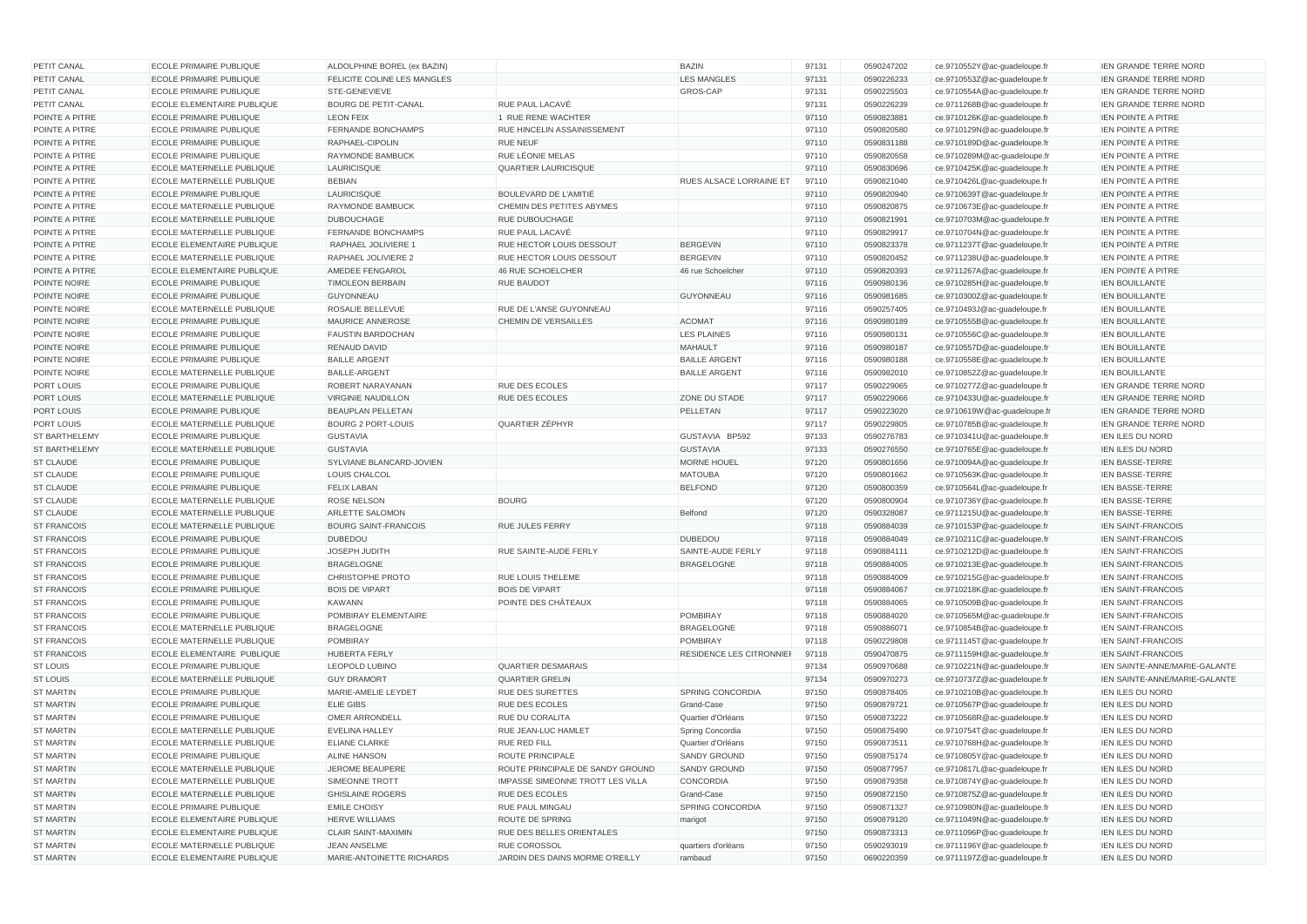| PETIT CANAL          | <b>ECOLE PRIMAIRE PUBLIQUE</b>    | ALDOLPHINE BOREL (ex BAZIN)        |                                         | <b>BAZIN</b>             | 97131 | 0590247202 | ce.9710552Y@ac-quadeloupe.fr | <b>IEN GRANDE TERRE NORD</b>  |
|----------------------|-----------------------------------|------------------------------------|-----------------------------------------|--------------------------|-------|------------|------------------------------|-------------------------------|
| PETIT CANAL          | <b>ECOLE PRIMAIRE PUBLIQUE</b>    | <b>FELICITE COLINE LES MANGLES</b> |                                         | <b>LES MANGLES</b>       | 97131 | 0590226233 | ce.9710553Z@ac-guadeloupe.fr | <b>IEN GRANDE TERRE NORD</b>  |
| PETIT CANAL          | <b>ECOLE PRIMAIRE PUBLIQUE</b>    | <b>STE-GENEVIEVE</b>               |                                         | GROS-CAP                 | 97131 | 0590225503 | ce.9710554A@ac-guadeloupe.fr | <b>IEN GRANDE TERRE NORD</b>  |
| PETIT CANAL          | <b>ECOLE ELEMENTAIRE PUBLIQUE</b> | <b>BOURG DE PETIT-CANAL</b>        | RUE PAUL LACAVÉ                         |                          | 97131 | 0590226239 | ce.9711268B@ac-guadeloupe.fr | <b>IEN GRANDE TERRE NORD</b>  |
| POINTE A PITRE       | <b>ECOLE PRIMAIRE PUBLIQUE</b>    | <b>LEON FEIX</b>                   | 1 RUE RENE WACHTER                      |                          | 97110 | 0590823881 | ce.9710126K@ac-guadeloupe.fr | <b>IEN POINTE A PITRE</b>     |
| POINTE A PITRE       | <b>ECOLE PRIMAIRE PUBLIQUE</b>    | <b>FERNANDE BONCHAMPS</b>          | RUE HINCELIN ASSAINISSEMENT             |                          | 97110 | 0590820580 | ce.9710129N@ac-guadeloupe.fr | <b>IEN POINTE A PITRE</b>     |
| POINTE A PITRE       | <b>ECOLE PRIMAIRE PUBLIQUE</b>    | RAPHAEL-CIPOLIN                    | <b>RUE NEUF</b>                         |                          | 97110 | 0590831188 | ce.9710189D@ac-guadeloupe.fr | <b>IEN POINTE A PITRE</b>     |
| POINTE A PITRE       | <b>ECOLE PRIMAIRE PUBLIQUE</b>    | <b>RAYMONDE BAMBUCK</b>            | RUE LÉONIE MELAS                        |                          | 97110 | 0590820558 | ce.9710289M@ac-guadeloupe.fr | <b>IEN POINTE A PITRE</b>     |
| POINTE A PITRE       | ECOLE MATERNELLE PUBLIQUE         | LAURICISQUE                        | <b>QUARTIER LAURICISQUE</b>             |                          | 97110 | 0590830696 | ce.9710425K@ac-guadeloupe.fr | <b>IEN POINTE A PITRE</b>     |
| POINTE A PITRE       | <b>ECOLE MATERNELLE PUBLIQUE</b>  | <b>BEBIAN</b>                      |                                         | RUES ALSACE LORRAINE ET  | 97110 | 0590821040 | ce.9710426L@ac-guadeloupe.fr | <b>IEN POINTE A PITRE</b>     |
| POINTE A PITRE       | <b>ECOLE PRIMAIRE PUBLIQUE</b>    | LAURICISQUE                        | BOULEVARD DE L'AMITIÉ                   |                          | 97110 | 0590820940 | ce.9710639T@ac-guadeloupe.fr | <b>IEN POINTE A PITRE</b>     |
| POINTE A PITRE       | <b>ECOLE MATERNELLE PUBLIQUE</b>  | <b>RAYMONDE BAMBUCK</b>            | CHEMIN DES PETITES ABYMES               |                          | 97110 | 0590820875 | ce.9710673E@ac-guadeloupe.fr | <b>IEN POINTE A PITRE</b>     |
| POINTE A PITRE       | ECOLE MATERNELLE PUBLIQUE         | <b>DUBOUCHAGE</b>                  | RUE DUBOUCHAGE                          |                          | 97110 | 0590821991 | ce.9710703M@ac-guadeloupe.fr | <b>IEN POINTE A PITRE</b>     |
| POINTE A PITRE       | <b>ECOLE MATERNELLE PUBLIQUE</b>  | <b>FERNANDE BONCHAMPS</b>          | RUE PAUL LACAVÉ                         |                          | 97110 | 0590829917 | ce.9710704N@ac-guadeloupe.fr | <b>IEN POINTE A PITRE</b>     |
| POINTE A PITRE       | <b>ECOLE ELEMENTAIRE PUBLIQUE</b> | RAPHAEL JOLIVIERE 1                | RUE HECTOR LOUIS DESSOUT                | <b>BERGEVIN</b>          | 97110 | 0590823378 | ce.9711237T@ac-guadeloupe.fr | <b>IEN POINTE A PITRE</b>     |
| POINTE A PITRE       | <b>ECOLE MATERNELLE PUBLIQUE</b>  | <b>RAPHAEL JOLIVIERE 2</b>         | RUE HECTOR LOUIS DESSOUT                | <b>BERGEVIN</b>          | 97110 | 0590820452 | ce.9711238U@ac-guadeloupe.fr | <b>IEN POINTE A PITRE</b>     |
| POINTE A PITRE       | ECOLE ELEMENTAIRE PUBLIQUE        | AMEDEE FENGAROL                    | <b>46 RUE SCHOELCHER</b>                | 46 rue Schoelcher        | 97110 | 0590820393 | ce.9711267A@ac-guadeloupe.fr | <b>IEN POINTE A PITRE</b>     |
| POINTE NOIRE         | <b>ECOLE PRIMAIRE PUBLIQUE</b>    | <b>TIMOLEON BERBAIN</b>            | <b>RUE BAUDOT</b>                       |                          | 97116 | 0590980136 | ce.9710285H@ac-guadeloupe.fr | <b>IEN BOUILLANTE</b>         |
| POINTE NOIRE         | <b>ECOLE PRIMAIRE PUBLIQUE</b>    | <b>GUYONNEAU</b>                   |                                         | <b>GUYONNEAU</b>         | 97116 | 0590981685 | ce.9710300Z@ac-guadeloupe.fr | <b>IEN BOUILLANTE</b>         |
| POINTE NOIRE         | <b>ECOLE MATERNELLE PUBLIQUE</b>  | <b>ROSALIE BELLEVUE</b>            | RUE DE L'ANSE GUYONNEAU                 |                          | 97116 | 0590257405 | ce.9710493J@ac-guadeloupe.fr | <b>IEN BOUILLANTE</b>         |
| POINTE NOIRE         | <b>ECOLE PRIMAIRE PUBLIQUE</b>    | MAURICE ANNEROSE                   | <b>CHEMIN DE VERSAILLES</b>             | <b>ACOMAT</b>            | 97116 | 0590980189 | ce.9710555B@ac-guadeloupe.fr | <b>IEN BOUILLANTE</b>         |
| POINTE NOIRE         | <b>ECOLE PRIMAIRE PUBLIQUE</b>    | <b>FAUSTIN BARDOCHAN</b>           |                                         | <b>LES PLAINES</b>       | 97116 | 0590980131 | ce.9710556C@ac-guadeloupe.fr | <b>IEN BOUILLANTE</b>         |
| POINTE NOIRE         | <b>ECOLE PRIMAIRE PUBLIQUE</b>    | <b>RENAUD DAVID</b>                |                                         | <b>MAHAULT</b>           | 97116 | 0590980187 | ce.9710557D@ac-guadeloupe.fr | <b>IEN BOUILLANTE</b>         |
| POINTE NOIRE         | <b>ECOLE PRIMAIRE PUBLIQUE</b>    | <b>BAILLE ARGENT</b>               |                                         | <b>BAILLE ARGENT</b>     | 97116 | 0590980188 | ce.9710558E@ac-guadeloupe.fr | <b>IEN BOUILLANTE</b>         |
| POINTE NOIRE         | <b>ECOLE MATERNELLE PUBLIQUE</b>  | <b>BAILLE-ARGENT</b>               |                                         | <b>BAILLE ARGENT</b>     | 97116 | 0590982010 | ce.9710852Z@ac-guadeloupe.fr | IEN BOUILLANTE                |
| <b>PORT LOUIS</b>    | <b>ECOLE PRIMAIRE PUBLIQUE</b>    | <b>ROBERT NARAYANAN</b>            | <b>RUE DES ECOLES</b>                   |                          | 97117 | 0590229065 | ce.9710277Z@ac-guadeloupe.fr | IEN GRANDE TERRE NORD         |
| PORT LOUIS           | ECOLE MATERNELLE PUBLIQUE         | <b>VIRGINIE NAUDILLON</b>          | <b>RUE DES ECOLES</b>                   | ZONE DU STADE            | 97117 | 0590229066 | ce.9710433U@ac-guadeloupe.fr | <b>IEN GRANDE TERRE NORD</b>  |
| <b>PORT LOUIS</b>    | <b>ECOLE PRIMAIRE PUBLIQUE</b>    | <b>BEAUPLAN PELLETAN</b>           |                                         | PELLETAN                 | 97117 | 0590223020 | ce.9710619W@ac-guadeloupe.fr | <b>IEN GRANDE TERRE NORD</b>  |
| PORT LOUIS           | ECOLE MATERNELLE PUBLIQUE         | <b>BOURG 2 PORT-LOUIS</b>          | <b>QUARTIER ZÉPHYR</b>                  |                          | 97117 | 0590229805 | ce.9710785B@ac-guadeloupe.fr | <b>IEN GRANDE TERRE NORD</b>  |
| <b>ST BARTHELEMY</b> | <b>ECOLE PRIMAIRE PUBLIQUE</b>    | <b>GUSTAVIA</b>                    |                                         | GUSTAVIA BP592           | 97133 | 0590276783 | ce.9710341U@ac-guadeloupe.fr | <b>IEN ILES DU NORD</b>       |
| <b>ST BARTHELEMY</b> | <b>ECOLE MATERNELLE PUBLIQUE</b>  | <b>GUSTAVIA</b>                    |                                         | <b>GUSTAVIA</b>          | 97133 | 0590276550 | ce.9710765E@ac-guadeloupe.fr | <b>IEN ILES DU NORD</b>       |
| <b>ST CLAUDE</b>     | <b>ECOLE PRIMAIRE PUBLIQUE</b>    | SYLVIANE BLANCARD-JOVIEN           |                                         | <b>MORNE HOUEL</b>       | 97120 | 0590801656 | ce.9710094A@ac-guadeloupe.fr | <b>IEN BASSE-TERRE</b>        |
| <b>ST CLAUDE</b>     | ECOLE PRIMAIRE PUBLIQUE           | LOUIS CHALCOL                      |                                         | <b>MATOUBA</b>           | 97120 | 0590801662 | ce.9710563K@ac-guadeloupe.fr | <b>IEN BASSE-TERRE</b>        |
| <b>ST CLAUDE</b>     | <b>ECOLE PRIMAIRE PUBLIQUE</b>    | <b>FELIX LABAN</b>                 |                                         | <b>BELFOND</b>           | 97120 | 0590800359 | ce.9710564L@ac-guadeloupe.fr | <b>IEN BASSE-TERRE</b>        |
| <b>ST CLAUDE</b>     | <b>ECOLE MATERNELLE PUBLIQUE</b>  | <b>ROSE NELSON</b>                 | <b>BOURG</b>                            |                          | 97120 | 0590800904 | ce.9710736Y@ac-guadeloupe.fr | <b>IEN BASSE-TERRE</b>        |
| <b>ST CLAUDE</b>     | ECOLE MATERNELLE PUBLIQUE         | <b>ARLETTE SALOMON</b>             |                                         | <b>Belfond</b>           | 97120 | 0590328087 | ce.9711215U@ac-guadeloupe.fr | <b>IEN BASSE-TERRE</b>        |
| <b>ST FRANCOIS</b>   | <b>ECOLE MATERNELLE PUBLIQUE</b>  | <b>BOURG SAINT-FRANCOIS</b>        | <b>RUE JULES FERRY</b>                  |                          | 97118 | 0590884039 | ce.9710153P@ac-guadeloupe.fr | IEN SAINT-FRANCOIS            |
| <b>ST FRANCOIS</b>   | <b>ECOLE PRIMAIRE PUBLIQUE</b>    | <b>DUBEDOU</b>                     |                                         | <b>DUBEDOU</b>           | 97118 | 0590884049 | ce.9710211C@ac-guadeloupe.fr | <b>IEN SAINT-FRANCOIS</b>     |
| <b>ST FRANCOIS</b>   | <b>ECOLE PRIMAIRE PUBLIQUE</b>    | JOSEPH JUDITH                      | RUE SAINTE-AUDE FERLY                   | SAINTE-AUDE FERLY        | 97118 | 0590884111 | ce.9710212D@ac-guadeloupe.fr | IEN SAINT-FRANCOIS            |
| <b>ST FRANCOIS</b>   | <b>ECOLE PRIMAIRE PUBLIQUE</b>    | <b>BRAGELOGNE</b>                  |                                         | <b>BRAGELOGNE</b>        | 97118 | 0590884005 | ce.9710213E@ac-guadeloupe.fr | <b>IEN SAINT-FRANCOIS</b>     |
| <b>ST FRANCOIS</b>   | <b>ECOLE PRIMAIRE PUBLIQUE</b>    | CHRISTOPHE PROTO                   | RUE LOUIS THELEME                       |                          | 97118 | 0590884009 | ce.9710215G@ac-guadeloupe.fr | IEN SAINT-FRANCOIS            |
| <b>ST FRANCOIS</b>   | <b>ECOLE PRIMAIRE PUBLIQUE</b>    | <b>BOIS DE VIPART</b>              | <b>BOIS DE VIPART</b>                   |                          | 97118 | 0590884067 | ce.9710218K@ac-guadeloupe.fr | <b>IEN SAINT-FRANCOIS</b>     |
| <b>ST FRANCOIS</b>   | <b>ECOLE PRIMAIRE PUBLIQUE</b>    | <b>KAWANN</b>                      | POINTE DES CHÂTEAUX                     |                          | 97118 | 0590884065 | ce.9710509B@ac-guadeloupe.fr | <b>IEN SAINT-FRANCOIS</b>     |
| <b>ST FRANCOIS</b>   | <b>ECOLE PRIMAIRE PUBLIQUE</b>    | POMBIRAY ELEMENTAIRE               |                                         | <b>POMBIRAY</b>          | 97118 | 0590884020 | ce.9710565M@ac-guadeloupe.fr | <b>IEN SAINT-FRANCOIS</b>     |
| <b>ST FRANCOIS</b>   | ECOLE MATERNELLE PUBLIQUE         | <b>BRAGELOGNE</b>                  |                                         | <b>BRAGELOGNE</b>        | 97118 | 0590886071 | ce.9710854B@ac-guadeloupe.fr | <b>IEN SAINT-FRANCOIS</b>     |
| <b>ST FRANCOIS</b>   | <b>ECOLE MATERNELLE PUBLIQUE</b>  | <b>POMBIRAY</b>                    |                                         | <b>POMBIRAY</b>          | 97118 | 0590229808 | ce.9711145T@ac-quadeloupe.fr | <b>IEN SAINT-FRANCOIS</b>     |
| <b>ST FRANCOIS</b>   | <b>ECOLE ELEMENTAIRE PUBLIQUE</b> | <b>HUBERTA FERLY</b>               |                                         | RESIDENCE LES CITRONNIEF | 97118 | 0590470875 | ce.9711159H@ac-guadeloupe.fr | <b>IEN SAINT-FRANCOIS</b>     |
| <b>ST LOUIS</b>      | <b>ECOLE PRIMAIRE PUBLIQUE</b>    | <b>LEOPOLD LUBINO</b>              | <b>QUARTIER DESMARAIS</b>               |                          | 97134 | 0590970688 | ce.9710221N@ac-guadeloupe.fr | IEN SAINTE-ANNE/MARIE-GALANTE |
| <b>ST LOUIS</b>      | ECOLE MATERNELLE PUBLIQUE         | <b>GUY DRAMORT</b>                 | <b>QUARTIER GRELIN</b>                  |                          | 97134 | 0590970273 | ce.9710737Z@ac-guadeloupe.fr | IEN SAINTE-ANNE/MARIE-GALANTE |
| <b>ST MARTIN</b>     | <b>ECOLE PRIMAIRE PUBLIQUE</b>    | MARIE-AMELIE LEYDET                | <b>RUE DES SURETTES</b>                 | SPRING CONCORDIA         | 97150 | 0590878405 | ce.9710210B@ac-guadeloupe.fr | <b>IEN ILES DU NORD</b>       |
| <b>ST MARTIN</b>     | <b>ECOLE PRIMAIRE PUBLIQUE</b>    | <b>ELIE GIBS</b>                   | RUE DES ECOLES                          | Grand-Case               | 97150 | 0590879721 | ce.9710567P@ac-guadeloupe.fr | <b>IEN ILES DU NORD</b>       |
| <b>ST MARTIN</b>     | ECOLE PRIMAIRE PUBLIQUE           | <b>OMER ARRONDELL</b>              | RUE DU CORALITA                         | Quartier d'Orléans       | 97150 | 0590873222 | ce.9710568R@ac-guadeloupe.fr | <b>IEN ILES DU NORD</b>       |
| <b>ST MARTIN</b>     | ECOLE MATERNELLE PUBLIQUE         | <b>EVELINA HALLEY</b>              | RUE JEAN-LUC HAMLET                     | Spring Concordia         | 97150 | 0590875490 | ce.9710754T@ac-guadeloupe.fr | <b>IEN ILES DU NORD</b>       |
| <b>ST MARTIN</b>     | ECOLE MATERNELLE PUBLIQUE         | <b>ELIANE CLARKE</b>               | <b>RUE RED FILL</b>                     | Quartier d'Orléans       | 97150 | 0590873511 | ce.9710768H@ac-guadeloupe.fr | <b>IEN ILES DU NORD</b>       |
| <b>ST MARTIN</b>     | ECOLE PRIMAIRE PUBLIQUE           | <b>ALINE HANSON</b>                | ROUTE PRINCIPALE                        | <b>SANDY GROUND</b>      | 97150 | 0590875174 | ce.9710805Y@ac-guadeloupe.fr | IEN ILES DU NORD              |
| <b>ST MARTIN</b>     | ECOLE MATERNELLE PUBLIQUE         | JEROME BEAUPERE                    | ROUTE PRINCIPALE DE SANDY GROUND        | SANDY GROUND             | 97150 | 0590877957 | ce.9710817L@ac-guadeloupe.fr | IEN ILES DU NORD              |
| <b>ST MARTIN</b>     | ECOLE MATERNELLE PUBLIQUE         | <b>SIMEONNE TROTT</b>              | <b>IMPASSE SIMEONNE TROTT LES VILLA</b> | <b>CONCORDIA</b>         | 97150 | 0590879358 | ce.9710874Y@ac-guadeloupe.fr | <b>IEN ILES DU NORD</b>       |
| <b>ST MARTIN</b>     | ECOLE MATERNELLE PUBLIQUE         | <b>GHISLAINE ROGERS</b>            | RUE DES ECOLES                          | Grand-Case               | 97150 | 0590872150 | ce.9710875Z@ac-guadeloupe.fr | <b>IEN ILES DU NORD</b>       |
| <b>ST MARTIN</b>     | <b>ECOLE PRIMAIRE PUBLIQUE</b>    | <b>EMILE CHOISY</b>                | RUE PAUL MINGAU                         | SPRING CONCORDIA         | 97150 | 0590871327 | ce.9710980N@ac-guadeloupe.fr | <b>IEN ILES DU NORD</b>       |
| <b>ST MARTIN</b>     | ECOLE ELEMENTAIRE PUBLIQUE        | <b>HERVE WILLIAMS</b>              | ROUTE DE SPRING                         | marigot                  | 97150 | 0590879120 | ce.9711049N@ac-guadeloupe.fr | <b>IEN ILES DU NORD</b>       |
| <b>ST MARTIN</b>     | ECOLE ELEMENTAIRE PUBLIQUE        | <b>CLAIR SAINT-MAXIMIN</b>         | RUE DES BELLES ORIENTALES               |                          | 97150 | 0590873313 | ce.9711096P@ac-guadeloupe.fr | <b>IEN ILES DU NORD</b>       |
| <b>ST MARTIN</b>     | ECOLE MATERNELLE PUBLIQUE         | <b>JEAN ANSELME</b>                | <b>RUE COROSSOL</b>                     | quartiers d'orléans      | 97150 | 0590293019 | ce.9711196Y@ac-guadeloupe.fr | IEN ILES DU NORD              |
| <b>ST MARTIN</b>     | ECOLE ELEMENTAIRE PUBLIQUE        | MARIE-ANTOINETTE RICHARDS          | JARDIN DES DAINS MORME O'REILLY         | rambaud                  | 97150 | 0690220359 | ce.9711197Z@ac-guadeloupe.fr | IEN ILES DU NORD              |